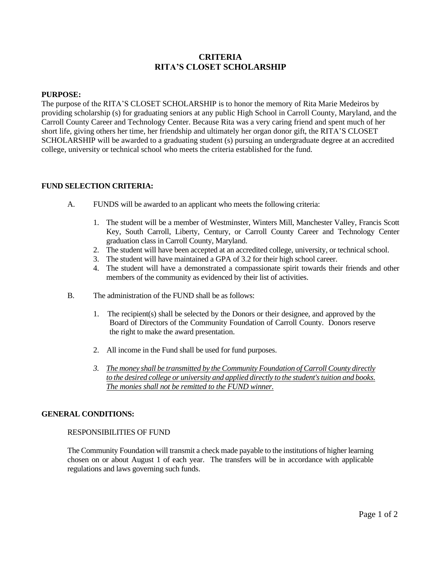# **CRITERIA RITA'S CLOSET SCHOLARSHIP**

#### **PURPOSE:**

The purpose of the RITA'S CLOSET SCHOLARSHIP is to honor the memory of Rita Marie Medeiros by providing scholarship (s) for graduating seniors at any public High School in Carroll County, Maryland, and the Carroll County Career and Technology Center. Because Rita was a very caring friend and spent much of her short life, giving others her time, her friendship and ultimately her organ donor gift, the RITA'S CLOSET SCHOLARSHIP will be awarded to a graduating student (s) pursuing an undergraduate degree at an accredited college, university or technical school who meets the criteria established for the fund.

#### **FUND SELECTION CRITERIA:**

- A. FUNDS will be awarded to an applicant who meets the following criteria:
	- 1. The student will be a member of Westminster, Winters Mill, Manchester Valley, Francis Scott Key, South Carroll, Liberty, Century, or Carroll County Career and Technology Center graduation class in Carroll County, Maryland.
	- 2. The student will have been accepted at an accredited college, university, or technical school.
	- 3. The student will have maintained a GPA of 3.2 for their high school career.
	- 4. The student will have a demonstrated a compassionate spirit towards their friends and other members of the community as evidenced by their list of activities.
- B. The administration of the FUND shall be as follows:
	- 1. The recipient(s) shall be selected by the Donors or their designee, and approved by the Board of Directors of the Community Foundation of Carroll County. Donors reserve the right to make the award presentation.
	- 2. All income in the Fund shall be used for fund purposes.
	- *3. The money shall be transmitted by the Community Foundation of Carroll County directly to the desired college or university and applied directly to the student's tuition and books. The monies shall not be remitted to the FUND winner.*

#### **GENERAL CONDITIONS:**

### RESPONSIBILITIES OF FUND

The Community Foundation will transmit a check made payable to the institutions of higher learning chosen on or about August 1 of each year. The transfers will be in accordance with applicable regulations and laws governing such funds.